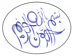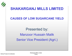

## **SHAKARGANJ MILLS LIMITED CAUSES OF LOW SUGARCANE YIELD** Presented by: Manzoor Hussain Malik Senior Vice President (Agri.)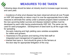

## **MEASURES TO BE TAKEN**

Following steps should be taken at industry level to increase sugar recovery and cane yield.

Incedence of whip smut disease has been observed almost all over Punjab on HSF 240 especially on ratoon crop.It is now the approperiate time to take meaures to eliminate this variety under a phased program.Seed nurseries of the new upcoming better sucrose and disease resistent varities must be developed by each mills having predominently HSF 240. The same can be used for seed propagation. Development of seed bank by all the sugar mills for spreading

the early maturing and high yielding cane varieties acceptable for millers and growers.

- Awareness to the growers and training of the field staff on Integrated pest management of sugarcane crop.
- $\rightarrow$  Interest free loans in kind should be given to the farmers at the door step for appropriate fertigation of the crop.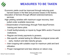

## **MEASURES TO BE TAKEN**

Economic yields could be improved through reducing post harvest losses in the field and process losses in the factory. Education of farmers through efficient extension/advisory services.

- High yielding varieties with maximum sugar recovery, best suited under available resources.
- <del>■</del> Dissemination of technology through Field days/Farmers training and demo plots.
- **Ex** Credit facility/subsidy on inputs by Sugar Mill's and/or Financial institutions.
- <del>■</del> Regular and timely payments to growers.
- Site-specific varietal testing for different ecological zones with
- **Ex** early, medium and late maturity groups.
- $\bullet$  Inter-cropping with suitable crops for maximum yield and land utilization.
- **Proper management and less reliance on ratoon crop.**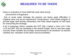

## **MEASURES TO BE TAKEN**

Close co-ordination of Cane Staff with each other during

procurement of Sugarcane.

Due to acute water shortage the growers are facing great difficulties in irrigating cane crop as per requirement. Governament must initiate program to provide sugar cane farmers Generators and Peter diesel engines on soft loans for overcoming the shortage.

A lot of extremely inferior varieties like CPF 239 ( Fakher e Hind ),CO 1148, L118 and SPF 220 are spreading in the central Punjab. Due to very less sugar recovery these varieties are strongly recommended to be declared1 as banned varieties and cultivation of the same must be prohibited.